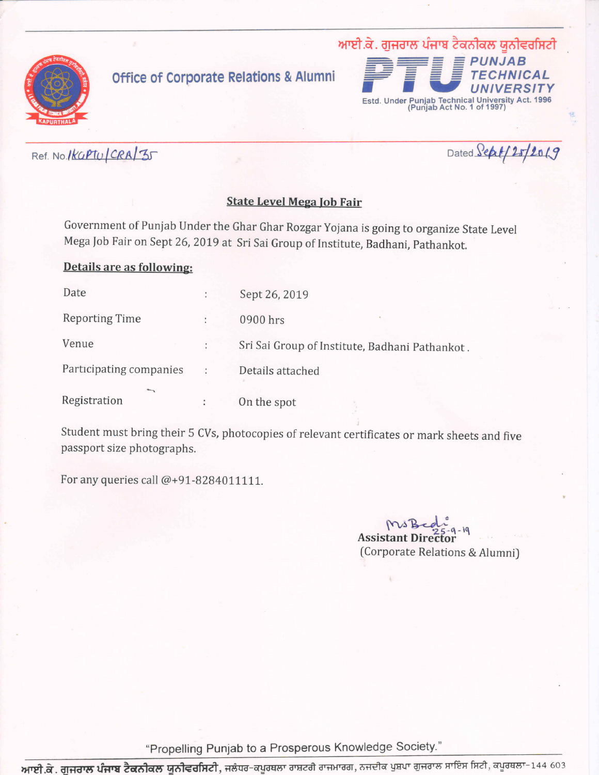

## **Office of Corporate Relations & Alumni**



Ref. No. 1KGPTU CRA/35

Dated Sept/25/2019

## **State Level Mega Job Fair**

Government of Punjab Under the Ghar Ghar Rozgar Yojana is going to organize State Level Mega Job Fair on Sept 26, 2019 at Sri Sai Group of Institute, Badhani, Pathankot.

## Details are as following:

| Date                           |   | Sept 26, 2019                                  |
|--------------------------------|---|------------------------------------------------|
| <b>Reporting Time</b>          |   | 0900 hrs                                       |
| Venue                          |   | Sri Sai Group of Institute, Badhani Pathankot. |
| Participating companies        | ÷ | Details attached                               |
| <b>Serving</b><br>Registration |   | On the spot                                    |

Student must bring their 5 CVs, photocopies of relevant certificates or mark sheets and five passport size photographs.

For any queries call @+91-8284011111.

Assistant Director (Corporate Relations & Alumni)

"Propelling Punjab to a Prosperous Knowledge Society."

<mark>ਆਈ.ਕੇ. ਗੁਜਰਾਲ ਪੰਜਾਬ ਟੈਕਨੀਕਲ ਯੂਨੀਵਰਸਿਟੀ</mark>, ਜਲੰਧਰ-ਕਪੂਰਥਲਾ ਰਾਸ਼ਟਰੀ ਰਾਜਮਾਰਗ, ਨਜਦੀਕ ਪੁਸ਼ਪਾ ਗੁਜਰਾਲ ਸਾਇਸ ਸਿਟੀ, ਕਪੂਰਥਲਾ-144 603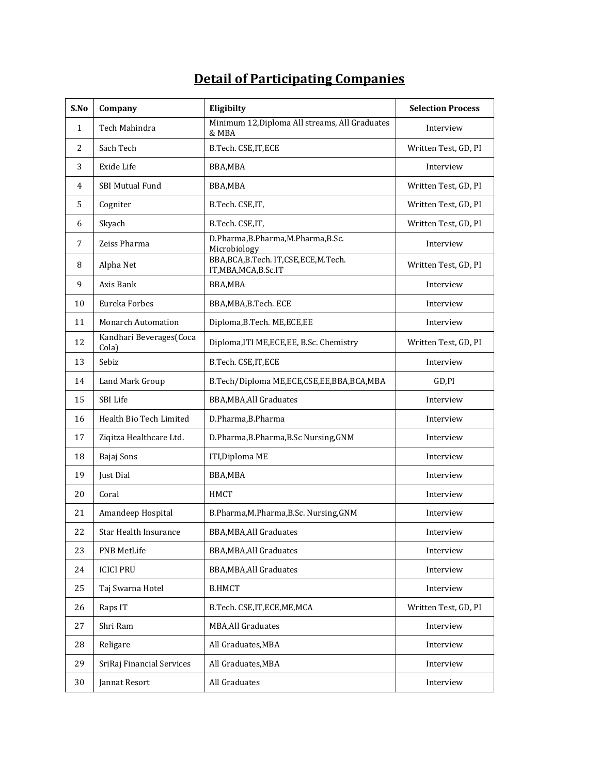## **Detail of Participating Companies**

| S.No           | Company                          | Eligibilty                                                  | <b>Selection Process</b> |
|----------------|----------------------------------|-------------------------------------------------------------|--------------------------|
| $\mathbf 1$    | Tech Mahindra                    | Minimum 12, Diploma All streams, All Graduates<br>& MBA     | Interview                |
| $\overline{2}$ | Sach Tech                        | B.Tech. CSE, IT, ECE                                        | Written Test, GD, PI     |
| 3              | Exide Life                       | BBA,MBA                                                     | Interview                |
| 4              | <b>SBI Mutual Fund</b>           | BBA,MBA                                                     | Written Test, GD, PI     |
| 5              | Cogniter                         | B.Tech. CSE,IT,                                             | Written Test, GD, PI     |
| 6              | Skyach                           | B.Tech. CSE,IT,                                             | Written Test, GD, PI     |
| 7              | Zeiss Pharma                     | D.Pharma, B.Pharma, M.Pharma, B.Sc.<br>Microbiology         | Interview                |
| 8              | Alpha Net                        | BBA,BCA,B.Tech. IT,CSE,ECE,M.Tech.<br>IT, MBA, MCA, B.Sc.IT | Written Test, GD, PI     |
| 9              | Axis Bank                        | BBA,MBA                                                     | Interview                |
| 10             | Eureka Forbes                    | BBA, MBA, B. Tech. ECE                                      | Interview                |
| 11             | <b>Monarch Automation</b>        | Diploma, B. Tech. ME, ECE, EE                               | Interview                |
| 12             | Kandhari Beverages(Coca<br>Cola) | Diploma, ITI ME, ECE, EE, B.Sc. Chemistry                   | Written Test, GD, PI     |
| 13             | Sebiz                            | B.Tech. CSE, IT, ECE                                        | Interview                |
| 14             | Land Mark Group                  | B.Tech/Diploma ME,ECE,CSE,EE,BBA,BCA,MBA                    | $GD$ , $PI$              |
| 15             | SBI Life                         | <b>BBA, MBA, All Graduates</b>                              | Interview                |
| 16             | Health Bio Tech Limited          | D.Pharma, B.Pharma                                          | Interview                |
| 17             | Ziqitza Healthcare Ltd.          | D.Pharma, B.Pharma, B.Sc Nursing, GNM                       | Interview                |
| 18             | Bajaj Sons                       | ITI, Diploma ME                                             | Interview                |
| 19             | Just Dial                        | BBA, MBA                                                    | Interview                |
| 20             | Coral                            | <b>HMCT</b>                                                 | Interview                |
| 21             | Amandeep Hospital                | B.Pharma, M.Pharma, B.Sc. Nursing, GNM                      | Interview                |
| 22             | Star Health Insurance            | BBA, MBA, All Graduates                                     | Interview                |
| 23             | PNB MetLife                      | BBA, MBA, All Graduates                                     | Interview                |
| 24             | <b>ICICI PRU</b>                 | BBA, MBA, All Graduates                                     | Interview                |
| 25             | Taj Swarna Hotel                 | <b>B.HMCT</b>                                               | Interview                |
| 26             | Raps IT                          | B.Tech. CSE, IT, ECE, ME, MCA                               | Written Test, GD, PI     |
| 27             | Shri Ram                         | <b>MBA, All Graduates</b>                                   | Interview                |
| 28             | Religare                         | All Graduates, MBA                                          | Interview                |
| 29             | SriRaj Financial Services        | All Graduates, MBA                                          | Interview                |
| 30             | Jannat Resort                    | All Graduates                                               | Interview                |